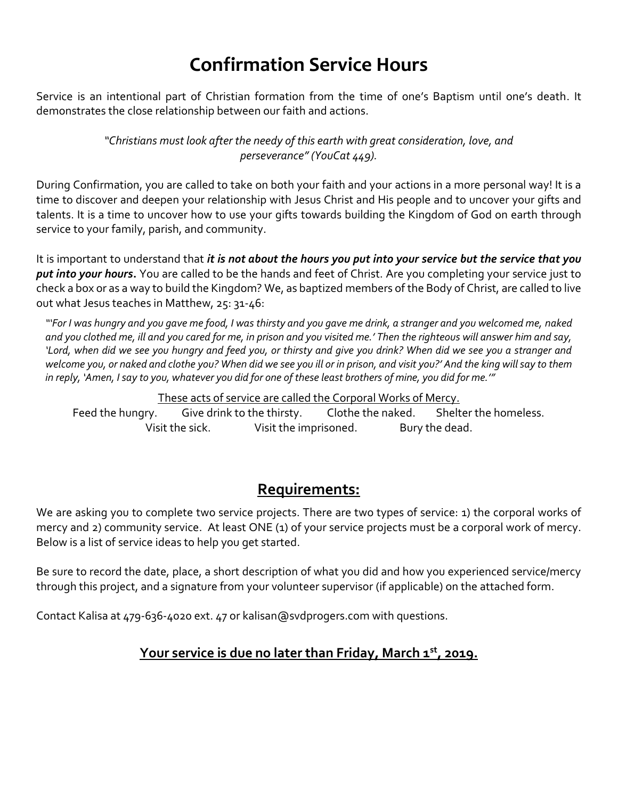# **Confirmation Service Hours**

Service is an intentional part of Christian formation from the time of one's Baptism until one's death. It demonstrates the close relationship between our faith and actions.

> *"Christians must look after the needy of this earth with great consideration, love, and perseverance" (YouCat 449).*

During Confirmation, you are called to take on both your faith and your actions in a more personal way! It is a time to discover and deepen your relationship with Jesus Christ and His people and to uncover your gifts and talents. It is a time to uncover how to use your gifts towards building the Kingdom of God on earth through service to your family, parish, and community.

It is important to understand that *it is not about the hours you put into your service but the service that you put into your hours***.** You are called to be the hands and feet of Christ. Are you completing your service just to check a box or as a way to build the Kingdom? We, as baptized members of the Body of Christ, are called to live out what Jesus teaches in Matthew, 25: 31-46:

*"'For I was hungry and you gave me food, I was thirsty and you gave me drink, a stranger and you welcomed me, naked and you clothed me, ill and you cared for me, in prison and you visited me.' Then the righteous will answer him and say, 'Lord, when did we see you hungry and feed you, or thirsty and give you drink? When did we see you a stranger and welcome you, or naked and clothe you? When did we see you ill or in prison, and visit you?' And the king will say to them in reply, 'Amen, I say to you, whatever you did for one of these least brothers of mine, you did for me.'"*

These acts of service are called the Corporal Works of Mercy.

Feed the hungry. Give drink to the thirsty. Clothe the naked. Shelter the homeless. Visit the sick. Visit the imprisoned. Bury the dead.

#### **Requirements:**

We are asking you to complete two service projects. There are two types of service: 1) the corporal works of mercy and 2) community service. At least ONE (1) of your service projects must be a corporal work of mercy. Below is a list of service ideas to help you get started.

Be sure to record the date, place, a short description of what you did and how you experienced service/mercy through this project, and a signature from your volunteer supervisor (if applicable) on the attached form.

Contact Kalisa at 479-636-4020 ext. 47 or kalisan@svdprogers.com with questions.

#### **Your service is due no later than Friday, March 1st, 2019.**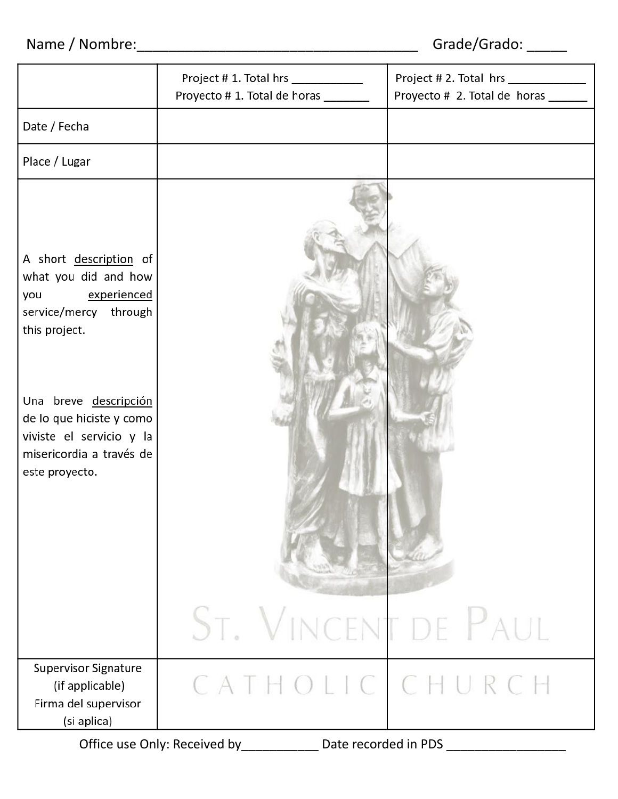## Name / Nombre:\_\_\_\_\_\_\_\_\_\_\_\_\_\_\_\_\_\_\_\_\_\_\_\_\_\_\_\_\_\_\_\_\_\_\_ Grade/Grado: \_\_\_\_\_

|                                                                                                                             | Project # 1. Total hrs ____________<br>Proyecto #1. Total de horas _______ | Project # 2. Total hrs ____________<br>Proyecto # 2. Total de horas _____ |  |  |  |  |
|-----------------------------------------------------------------------------------------------------------------------------|----------------------------------------------------------------------------|---------------------------------------------------------------------------|--|--|--|--|
| Date / Fecha                                                                                                                |                                                                            |                                                                           |  |  |  |  |
| Place / Lugar                                                                                                               |                                                                            |                                                                           |  |  |  |  |
| A short description of<br>what you did and how<br>experienced<br>you<br>service/mercy through<br>this project.              |                                                                            |                                                                           |  |  |  |  |
| Una breve descripción<br>de lo que hiciste y como<br>viviste el servicio y la<br>misericordia a través de<br>este proyecto. |                                                                            |                                                                           |  |  |  |  |
|                                                                                                                             | ST. VINCENT DE PAUL                                                        |                                                                           |  |  |  |  |
| Supervisor Signature<br>(if applicable)<br>Firma del supervisor<br>(si aplica)                                              | HOLICICHU<br>$(A \mid$                                                     |                                                                           |  |  |  |  |
|                                                                                                                             | Office use Only: Received by<br>Date recorded in PDS                       |                                                                           |  |  |  |  |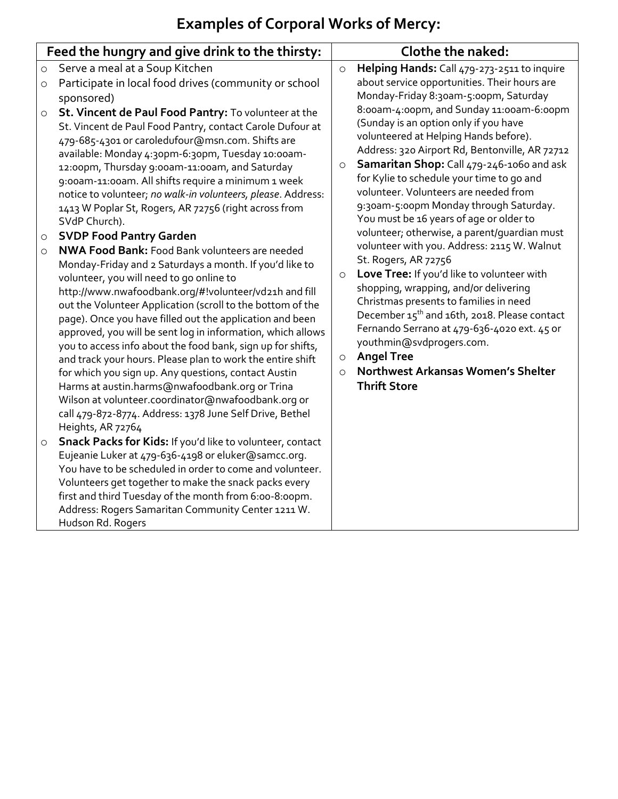## **Examples of Corporal Works of Mercy:**

| Feed the hungry and give drink to the thirsty: |                                                                                                                                                                                                                                                                                                                                                                                                                                                                                                                                                                                                                                                                                                                                     | <b>Clothe the naked:</b>                             |                                                                                                                                                                                                                                                                                                                                                                                                                                                                                                                                                                                                                                                                                                                                                                                                                                                                                       |
|------------------------------------------------|-------------------------------------------------------------------------------------------------------------------------------------------------------------------------------------------------------------------------------------------------------------------------------------------------------------------------------------------------------------------------------------------------------------------------------------------------------------------------------------------------------------------------------------------------------------------------------------------------------------------------------------------------------------------------------------------------------------------------------------|------------------------------------------------------|---------------------------------------------------------------------------------------------------------------------------------------------------------------------------------------------------------------------------------------------------------------------------------------------------------------------------------------------------------------------------------------------------------------------------------------------------------------------------------------------------------------------------------------------------------------------------------------------------------------------------------------------------------------------------------------------------------------------------------------------------------------------------------------------------------------------------------------------------------------------------------------|
| $\circ$<br>$\circ$                             | Serve a meal at a Soup Kitchen<br>Participate in local food drives (community or school<br>sponsored)                                                                                                                                                                                                                                                                                                                                                                                                                                                                                                                                                                                                                               | $\circ$                                              | Helping Hands: Call 479-273-2511 to inquire<br>about service opportunities. Their hours are<br>Monday-Friday 8:30am-5:00pm, Saturday                                                                                                                                                                                                                                                                                                                                                                                                                                                                                                                                                                                                                                                                                                                                                  |
| $\circ$<br>$\circ$                             | St. Vincent de Paul Food Pantry: To volunteer at the<br>St. Vincent de Paul Food Pantry, contact Carole Dufour at<br>479-685-4301 or caroledufour@msn.com. Shifts are<br>available: Monday 4:30pm-6:30pm, Tuesday 10:00am-<br>12:00pm, Thursday 9:00am-11:00am, and Saturday<br>9:00am-11:00am. All shifts require a minimum 1 week<br>notice to volunteer; no walk-in volunteers, please. Address:<br>1413 W Poplar St, Rogers, AR 72756 (right across from<br>SVdP Church).<br><b>SVDP Food Pantry Garden</b><br><b>NWA Food Bank: Food Bank volunteers are needed</b>                                                                                                                                                            | $\circ$<br>$\circ$<br>$\circlearrowright$<br>$\circ$ | 8:00am-4:00pm, and Sunday 11:00am-6:00pm<br>(Sunday is an option only if you have<br>volunteered at Helping Hands before).<br>Address: 320 Airport Rd, Bentonville, AR 72712<br>Samaritan Shop: Call 479-246-1060 and ask<br>for Kylie to schedule your time to go and<br>volunteer. Volunteers are needed from<br>9:30am-5:00pm Monday through Saturday.<br>You must be 16 years of age or older to<br>volunteer; otherwise, a parent/guardian must<br>volunteer with you. Address: 2115 W. Walnut<br>St. Rogers, AR 72756<br>Love Tree: If you'd like to volunteer with<br>shopping, wrapping, and/or delivering<br>Christmas presents to families in need<br>December 15 <sup>th</sup> and 16th, 2018. Please contact<br>Fernando Serrano at 479-636-4020 ext. 45 or<br>youthmin@svdprogers.com.<br><b>Angel Tree</b><br>Northwest Arkansas Women's Shelter<br><b>Thrift Store</b> |
| $\circ$                                        | Monday-Friday and 2 Saturdays a month. If you'd like to<br>volunteer, you will need to go online to<br>http://www.nwafoodbank.org/#!volunteer/vd21h and fill<br>out the Volunteer Application (scroll to the bottom of the<br>page). Once you have filled out the application and been<br>approved, you will be sent log in information, which allows<br>you to access info about the food bank, sign up for shifts,<br>and track your hours. Please plan to work the entire shift<br>for which you sign up. Any questions, contact Austin<br>Harms at austin.harms@nwafoodbank.org or Trina<br>Wilson at volunteer.coordinator@nwafoodbank.org or<br>call 479-872-8774. Address: 1378 June Self Drive, Bethel<br>Heights, AR 72764 |                                                      |                                                                                                                                                                                                                                                                                                                                                                                                                                                                                                                                                                                                                                                                                                                                                                                                                                                                                       |
| $\circ$                                        | Snack Packs for Kids: If you'd like to volunteer, contact<br>Eujeanie Luker at 479-636-4198 or eluker@samcc.org.<br>You have to be scheduled in order to come and volunteer.<br>Volunteers get together to make the snack packs every<br>first and third Tuesday of the month from 6:00-8:00pm.<br>Address: Rogers Samaritan Community Center 1211 W.<br>Hudson Rd. Rogers                                                                                                                                                                                                                                                                                                                                                          |                                                      |                                                                                                                                                                                                                                                                                                                                                                                                                                                                                                                                                                                                                                                                                                                                                                                                                                                                                       |